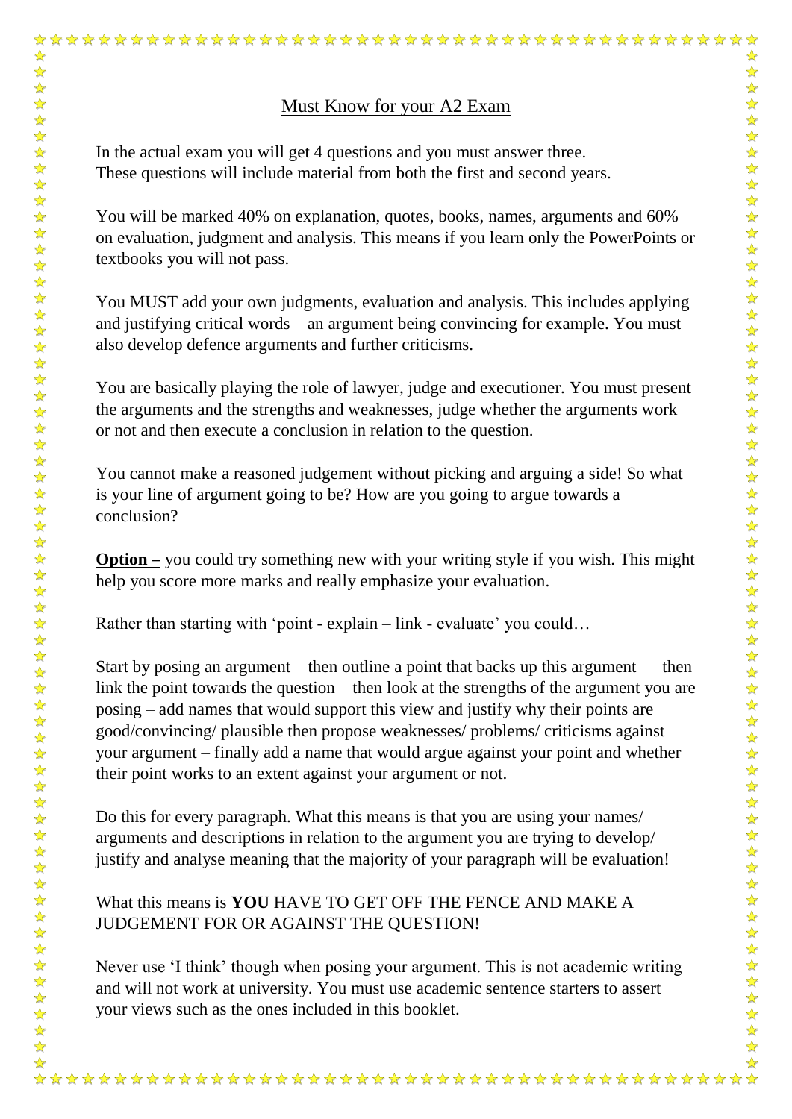## Must Know for your A2 Exam

In the actual exam you will get 4 questions and you must answer three. These questions will include material from both the first and second years.

You will be marked 40% on explanation, quotes, books, names, arguments and 60% on evaluation, judgment and analysis. This means if you learn only the PowerPoints or textbooks you will not pass.

You MUST add your own judgments, evaluation and analysis. This includes applying and justifying critical words – an argument being convincing for example. You must also develop defence arguments and further criticisms.

You are basically playing the role of lawyer, judge and executioner. You must present the arguments and the strengths and weaknesses, judge whether the arguments work or not and then execute a conclusion in relation to the question.

You cannot make a reasoned judgement without picking and arguing a side! So what is your line of argument going to be? How are you going to argue towards a conclusion?

**Option –** you could try something new with your writing style if you wish. This might help you score more marks and really emphasize your evaluation.

Rather than starting with 'point - explain – link - evaluate' you could...

 $\frac{1}{\sqrt{2}}$ 

Start by posing an argument – then outline a point that backs up this argument — then link the point towards the question – then look at the strengths of the argument you are posing – add names that would support this view and justify why their points are good/convincing/ plausible then propose weaknesses/ problems/ criticisms against your argument – finally add a name that would argue against your point and whether their point works to an extent against your argument or not.

Do this for every paragraph. What this means is that you are using your names/ arguments and descriptions in relation to the argument you are trying to develop/ justify and analyse meaning that the majority of your paragraph will be evaluation!

What this means is **YOU** HAVE TO GET OFF THE FENCE AND MAKE A JUDGEMENT FOR OR AGAINST THE QUESTION!

Never use 'I think' though when posing your argument. This is not academic writing and will not work at university. You must use academic sentence starters to assert your views such as the ones included in this booklet.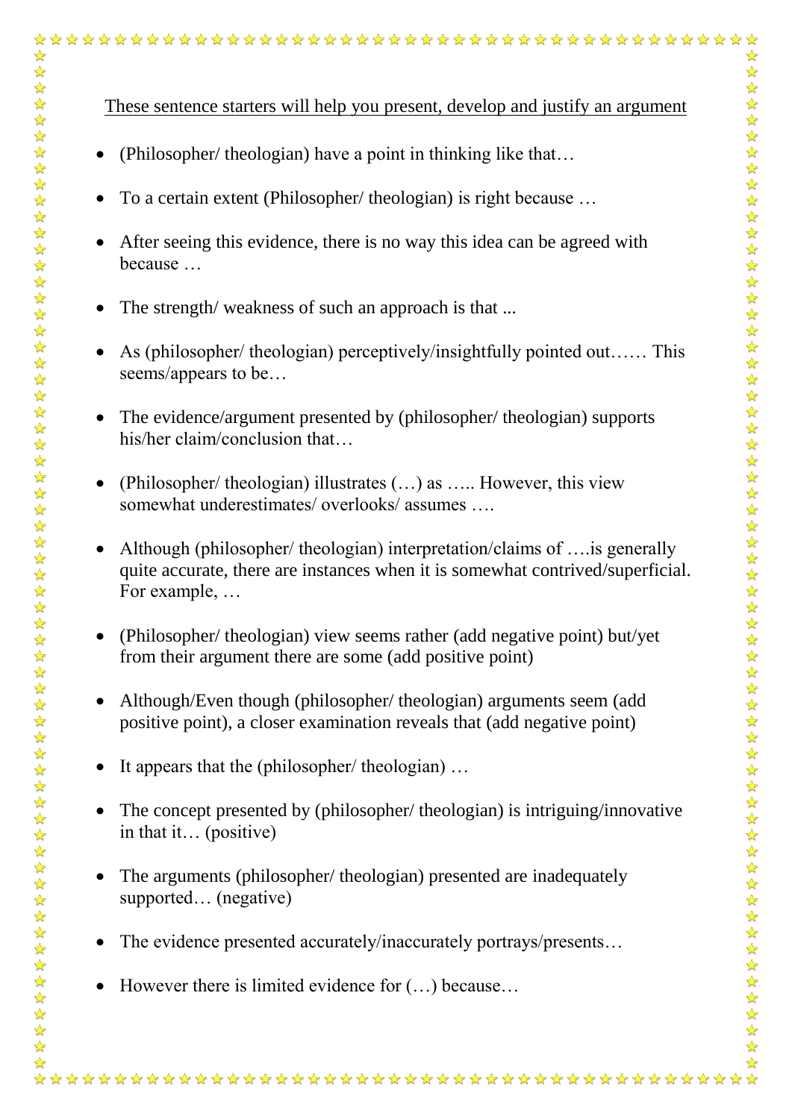(Philosopher/ theologian) have a point in thinking like that…

☆

- To a certain extent (Philosopher/ theologian) is right because …
- After seeing this evidence, there is no way this idea can be agreed with because …
- The strength/ weakness of such an approach is that ...
- As (philosopher/ theologian) perceptively/insightfully pointed out…… This seems/appears to be…
- The evidence/argument presented by (philosopher/ theologian) supports his/her claim/conclusion that...
- (Philosopher/ theologian) illustrates (…) as ….. However, this view somewhat underestimates/ overlooks/ assumes ….
- Although (philosopher/ theologian) interpretation/claims of ….is generally quite accurate, there are instances when it is somewhat contrived/superficial. For example, …
- (Philosopher/ theologian) view seems rather (add negative point) but/yet from their argument there are some (add positive point)
- Although/Even though (philosopher/ theologian) arguments seem (add positive point), a closer examination reveals that (add negative point)
- It appears that the (philosopher/ theologian) ...
- The concept presented by (philosopher/ theologian) is intriguing/innovative in that it… (positive)
- The arguments (philosopher/ theologian) presented are inadequately supported… (negative)
- The evidence presented accurately/inaccurately portrays/presents...
- $\bullet$  However there is limited evidence for  $(...)$  because...